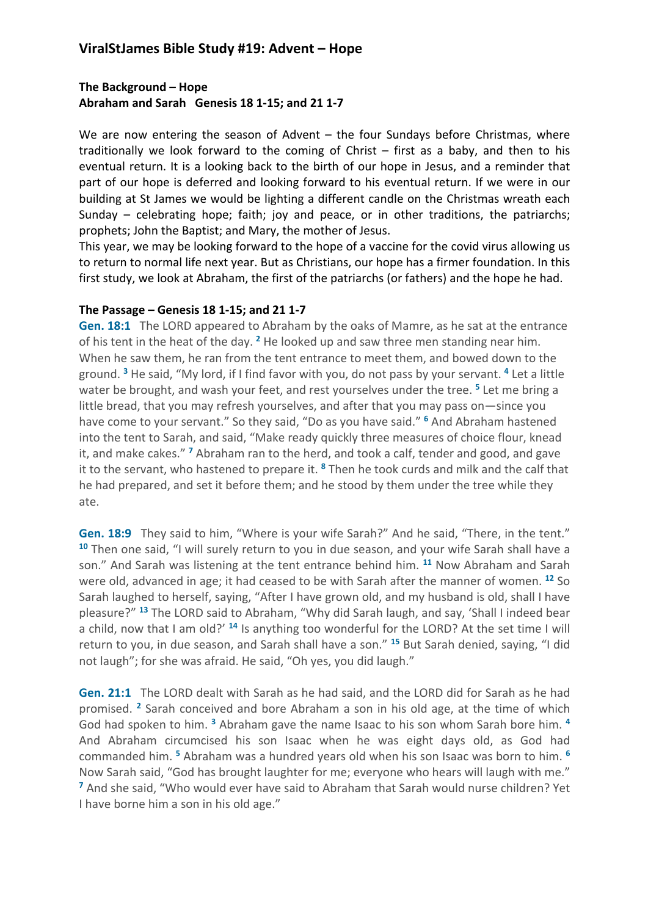## **ViralStJames Bible Study #19: Advent – Hope**

### **The Background – Hope Abraham and Sarah Genesis 18 1-15; and 21 1-7**

We are now entering the season of Advent – the four Sundays before Christmas, where traditionally we look forward to the coming of Christ  $-$  first as a baby, and then to his eventual return. It is a looking back to the birth of our hope in Jesus, and a reminder that part of our hope is deferred and looking forward to his eventual return. If we were in our building at St James we would be lighting a different candle on the Christmas wreath each Sunday – celebrating hope; faith; joy and peace, or in other traditions, the patriarchs; prophets; John the Baptist; and Mary, the mother of Jesus.

This year, we may be looking forward to the hope of a vaccine for the covid virus allowing us to return to normal life next year. But as Christians, our hope has a firmer foundation. In this first study, we look at Abraham, the first of the patriarchs (or fathers) and the hope he had.

#### **The Passage – Genesis 18 1-15; and 21 1-7**

**Gen. 18:1** The LORD appeared to Abraham by the oaks of Mamre, as he sat at the entrance of his tent in the heat of the day. **<sup>2</sup>** He looked up and saw three men standing near him. When he saw them, he ran from the tent entrance to meet them, and bowed down to the ground. **<sup>3</sup>** He said, "My lord, if I find favor with you, do not pass by your servant. **<sup>4</sup>** Let a little water be brought, and wash your feet, and rest yourselves under the tree. **<sup>5</sup>** Let me bring a little bread, that you may refresh yourselves, and after that you may pass on—since you have come to your servant." So they said, "Do as you have said." **<sup>6</sup>** And Abraham hastened into the tent to Sarah, and said, "Make ready quickly three measures of choice flour, knead it, and make cakes." **<sup>7</sup>** Abraham ran to the herd, and took a calf, tender and good, and gave it to the servant, who hastened to prepare it. **<sup>8</sup>** Then he took curds and milk and the calf that he had prepared, and set it before them; and he stood by them under the tree while they ate.

**Gen. 18:9** They said to him, "Where is your wife Sarah?" And he said, "There, in the tent." **<sup>10</sup>** Then one said, "I will surely return to you in due season, and your wife Sarah shall have a son." And Sarah was listening at the tent entrance behind him. **<sup>11</sup>** Now Abraham and Sarah were old, advanced in age; it had ceased to be with Sarah after the manner of women. **<sup>12</sup>** So Sarah laughed to herself, saying, "After I have grown old, and my husband is old, shall I have pleasure?" **<sup>13</sup>** The LORD said to Abraham, "Why did Sarah laugh, and say, 'Shall I indeed bear a child, now that I am old?' **<sup>14</sup>** Is anything too wonderful for the LORD? At the set time I will return to you, in due season, and Sarah shall have a son." **<sup>15</sup>** But Sarah denied, saying, "I did not laugh"; for she was afraid. He said, "Oh yes, you did laugh."

**Gen. 21:1** The LORD dealt with Sarah as he had said, and the LORD did for Sarah as he had promised. **<sup>2</sup>** Sarah conceived and bore Abraham a son in his old age, at the time of which God had spoken to him. **<sup>3</sup>** Abraham gave the name Isaac to his son whom Sarah bore him. **<sup>4</sup>** And Abraham circumcised his son Isaac when he was eight days old, as God had commanded him. **<sup>5</sup>** Abraham was a hundred years old when his son Isaac was born to him. **<sup>6</sup>** Now Sarah said, "God has brought laughter for me; everyone who hears will laugh with me." **<sup>7</sup>** And she said, "Who would ever have said to Abraham that Sarah would nurse children? Yet I have borne him a son in his old age."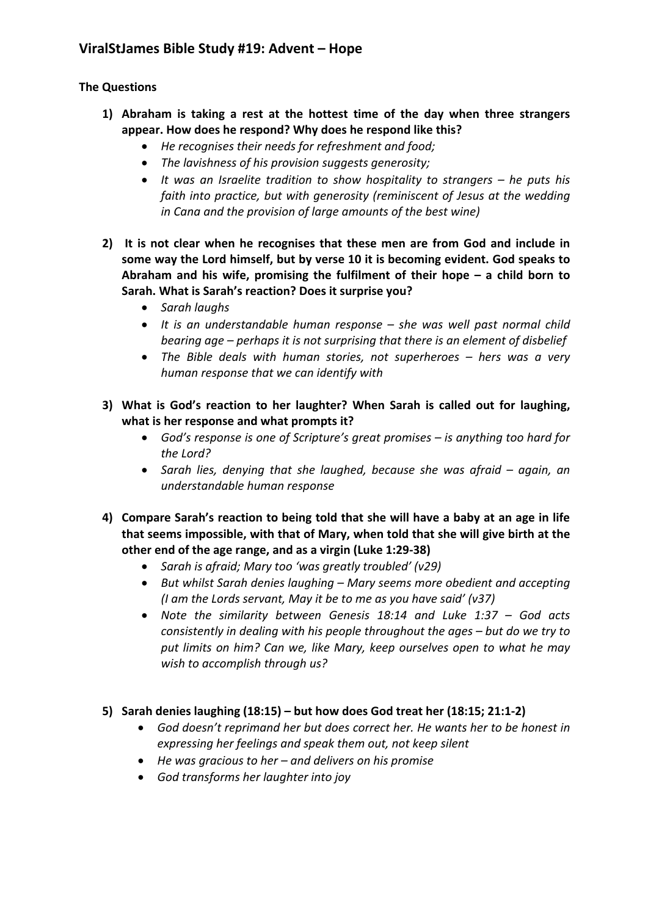## **The Questions**

- **1) Abraham is taking a rest at the hottest time of the day when three strangers appear. How does he respond? Why does he respond like this?**
	- *He recognises their needs for refreshment and food;*
	- *The lavishness of his provision suggests generosity;*
	- *It was an Israelite tradition to show hospitality to strangers – he puts his faith into practice, but with generosity (reminiscent of Jesus at the wedding in Cana and the provision of large amounts of the best wine)*
- **2) It is not clear when he recognises that these men are from God and include in some way the Lord himself, but by verse 10 it is becoming evident. God speaks to Abraham and his wife, promising the fulfilment of their hope – a child born to Sarah. What is Sarah's reaction? Does it surprise you?** 
	- *Sarah laughs*
	- *It is an understandable human response – she was well past normal child bearing age – perhaps it is not surprising that there is an element of disbelief*
	- *The Bible deals with human stories, not superheroes – hers was a very human response that we can identify with*
- **3) What is God's reaction to her laughter? When Sarah is called out for laughing, what is her response and what prompts it?**
	- *God's response is one of Scripture's great promises – is anything too hard for the Lord?*
	- *Sarah lies, denying that she laughed, because she was afraid – again, an understandable human response*
- **4) Compare Sarah's reaction to being told that she will have a baby at an age in life that seems impossible, with that of Mary, when told that she will give birth at the other end of the age range, and as a virgin (Luke 1:29-38)**
	- *Sarah is afraid; Mary too 'was greatly troubled' (v29)*
	- *But whilst Sarah denies laughing – Mary seems more obedient and accepting (I am the Lords servant, May it be to me as you have said' (v37)*
	- *Note the similarity between Genesis 18:14 and Luke 1:37 – God acts consistently in dealing with his people throughout the ages – but do we try to put limits on him? Can we, like Mary, keep ourselves open to what he may wish to accomplish through us?*
- **5) Sarah denies laughing (18:15) – but how does God treat her (18:15; 21:1-2)**
	- *God doesn't reprimand her but does correct her. He wants her to be honest in expressing her feelings and speak them out, not keep silent*
	- *He was gracious to her – and delivers on his promise*
	- *God transforms her laughter into joy*